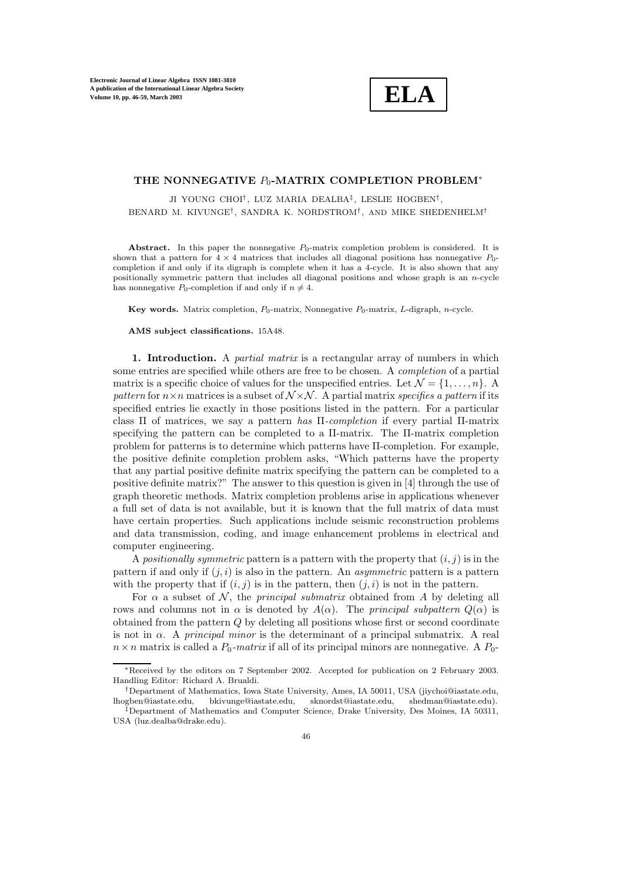**ELA**

## THE NONNEGATIVE P<sub>0</sub>-MATRIX COMPLETION PROBLEM<sup>∗</sup>

JI YOUNG CHOI<sup>†</sup>, LUZ MARIA DEALBA<sup>‡</sup>, LESLIE HOGBEN<sup>†</sup>, BENARD M. KIVUNGE†, SANDRA K. NORDSTROM†, AND MIKE SHEDENHELM†

Abstract. In this paper the nonnegative  $P_0$ -matrix completion problem is considered. It is shown that a pattern for  $4 \times 4$  matrices that includes all diagonal positions has nonnegative  $P_0$ completion if and only if its digraph is complete when it has a 4-cycle. It is also shown that any positionally symmetric pattern that includes all diagonal positions and whose graph is an n-cycle has nonnegative  $P_0$ -completion if and only if  $n \neq 4$ .

**Key words.** Matrix completion,  $P_0$ -matrix, Nonnegative  $P_0$ -matrix, L-digraph, *n*-cycle.

**AMS subject classifications.** 15A48.

**1. Introduction.** A *partial matrix* is a rectangular array of numbers in which some entries are specified while others are free to be chosen. A *completion* of a partial matrix is a specific choice of values for the unspecified entries. Let  $\mathcal{N} = \{1, \ldots, n\}$ . *pattern* for  $n \times n$  matrices is a subset of  $\mathcal{N} \times \mathcal{N}$ . A partial matrix *specifies a pattern* if its specified entries lie exactly in those positions listed in the pattern. For a particular class Π of matrices, we say a pattern *has* Π*-completion* if every partial Π-matrix specifying the pattern can be completed to a Π-matrix. The Π-matrix completion problem for patterns is to determine which patterns have Π-completion. For example, the positive definite completion problem asks, "Which patterns have the property that any partial positive definite matrix specifying the pattern can be completed to a positive definite matrix?" The answer to this question is given in [4] through the use of graph theoretic methods. Matrix completion problems arise in applications whenever a full set of data is not available, but it is known that the full matrix of data must have certain properties. Such applications include seismic reconstruction problems and data transmission, coding, and image enhancement problems in electrical and computer engineering.

A *positionally symmetric* pattern is a pattern with the property that  $(i, j)$  is in the pattern if and only if  $(j, i)$  is also in the pattern. An *asymmetric* pattern is a pattern with the property that if  $(i, j)$  is in the pattern, then  $(j, i)$  is not in the pattern.

For  $\alpha$  a subset of  $\mathcal{N}$ , the *principal submatrix* obtained from A by deleting all rows and columns not in  $\alpha$  is denoted by  $A(\alpha)$ . The *principal subpattern*  $Q(\alpha)$  is obtained from the pattern Q by deleting all positions whose first or second coordinate is not in α. A *principal minor* is the determinant of a principal submatrix. A real  $n \times n$  matrix is called a  $P_0$ -matrix if all of its principal minors are nonnegative. A  $P_0$ -

<sup>∗</sup>Received by the editors on 7 September 2002. Accepted for publication on 2 February 2003. Handling Editor: Richard A. Brualdi.

<sup>†</sup>Department of Mathematics, Iowa State University, Ames, IA 50011, USA (jiychoi@iastate.edu, lhogben@iastate.edu, bkivunge@iastate.edu, sknordst@iastate.edu, shedman@iastate.edu).

<sup>‡</sup>Department of Mathematics and Computer Science, Drake University, Des Moines, IA 50311, USA (luz.dealba@drake.edu).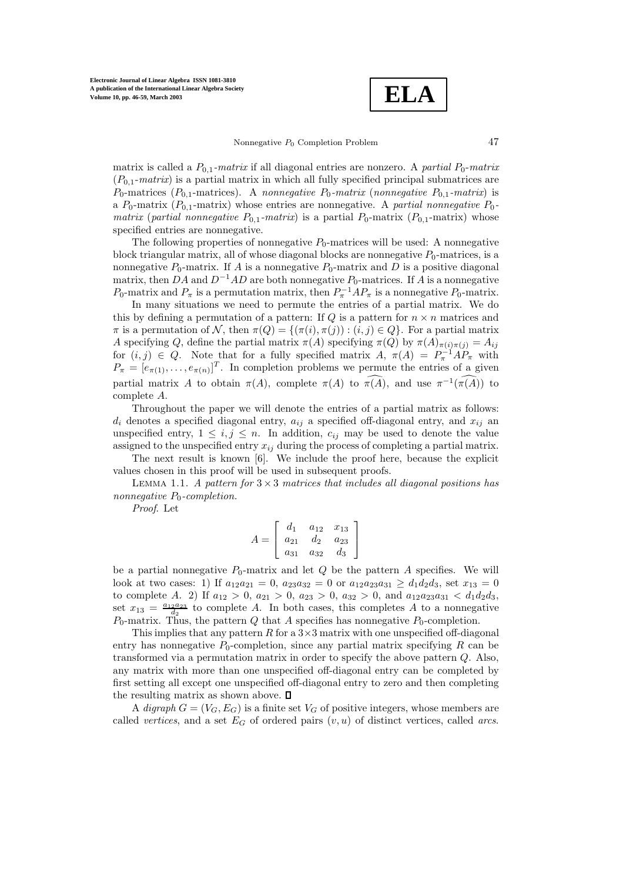**ELA**

## Nonnegative  $P_0$  Completion Problem  $47$

matrix is called a  $P_{0,1}$ *-matrix* if all diagonal entries are nonzero. A *partial*  $P_0$ *-matrix*  $(P_{0,1}-matrix)$  is a partial matrix in which all fully specified principal submatrices are  $P_0$ -matrices ( $P_{0,1}$ -matrices). A *nonnegative*  $P_0$ -matrix (*nonnegative*  $P_{0,1}$ -matrix) is a  $P_0$ -matrix ( $P_{0,1}$ -matrix) whose entries are nonnegative. A *partial nonnegative*  $P_0$ *matrix* (*partial nonnegative*  $P_{0,1}$ *-matrix*) is a partial  $P_0$ -matrix ( $P_{0,1}$ -matrix) whose specified entries are nonnegative.

The following properties of nonnegative  $P_0$ -matrices will be used: A nonnegative block triangular matrix, all of whose diagonal blocks are nonnegative  $P_0$ -matrices, is a nonnegative  $P_0$ -matrix. If A is a nonnegative  $P_0$ -matrix and D is a positive diagonal matrix, then DA and  $D^{-1}AD$  are both nonnegative  $P_0$ -matrices. If A is a nonnegative  $P_0$ -matrix and  $P_\pi$  is a permutation matrix, then  $P_\pi^{-1}AP_\pi$  is a nonnegative  $P_0$ -matrix.

In many situations we need to permute the entries of a partial matrix. We do this by defining a permutation of a pattern: If  $Q$  is a pattern for  $n \times n$  matrices and  $\pi$  is a permutation of N, then  $\pi(Q) = {\pi(i), \pi(j) : (i, j) \in Q}$ . For a partial matrix A specifying Q, define the partial matrix  $\pi(A)$  specifying  $\pi(Q)$  by  $\pi(A)_{\pi(i)\pi(j)} = A_{ij}$ for  $(i, j) \in Q$ . Note that for a fully specified matrix  $A, \pi(A) = P_{\pi}^{-1} A P_{\pi}$  with  $P_{\pi} = [e_{\pi(1)}, \ldots, e_{\pi(n)}]^T$ . In completion problems we permute the entries of a given partial matrix A to obtain  $\pi(A)$ , complete  $\pi(A)$  to  $\widehat{\pi(A)}$ , and use  $\pi^{-1}(\widehat{\pi(A)})$  to complete A.

Throughout the paper we will denote the entries of a partial matrix as follows:  $d_i$  denotes a specified diagonal entry,  $a_{ij}$  a specified off-diagonal entry, and  $x_{ij}$  and unspecified entry,  $1 \leq i, j \leq n$ . In addition,  $c_{ij}$  may be used to denote the value assigned to the unspecified entry  $x_{ij}$  during the process of completing a partial matrix.

The next result is known [6]. We include the proof here, because the explicit values chosen in this proof will be used in subsequent proofs.

Lemma 1.1. *A pattern for* <sup>3</sup> <sup>×</sup> <sup>3</sup> *matrices that includes all diagonal positions has nonnegative*  $P_0$ -completion.

*Proof*. Let

$$
A = \left[ \begin{array}{ccc} d_1 & a_{12} & x_{13} \\ a_{21} & d_2 & a_{23} \\ a_{31} & a_{32} & d_3 \end{array} \right]
$$

be a partial nonnegative  $P_0$ -matrix and let Q be the pattern A specifies. We will look at two cases: 1) If  $a_{12}a_{21} = 0$ ,  $a_{23}a_{32} = 0$  or  $a_{12}a_{23}a_{31} \ge d_1d_2d_3$ , set  $x_{13} = 0$ to complete A. 2) If  $a_{12} > 0$ ,  $a_{21} > 0$ ,  $a_{23} > 0$ ,  $a_{32} > 0$ , and  $a_{12}a_{23}a_{31} < d_1d_2d_3$ , set  $x_{13} = \frac{a_{12}a_{23}}{d_2}$  to complete A. In both cases, this completes A to a nonnegative  $P_0$ -matrix. Thus, the pattern Q that A specifies has nonnegative  $P_0$ -completion.

This implies that any pattern R for a  $3\times 3$  matrix with one unspecified off-diagonal entry has nonnegative  $P_0$ -completion, since any partial matrix specifying R can be transformed via a permutation matrix in order to specify the above pattern Q. Also, any matrix with more than one unspecified off-diagonal entry can be completed by first setting all except one unspecified off-diagonal entry to zero and then completing the resulting matrix as shown above.  $\Box$ 

A *digraph*  $G = (V_G, E_G)$  is a finite set  $V_G$  of positive integers, whose members are called *vertices*, and a set  $E_G$  of ordered pairs  $(v, u)$  of distinct vertices, called *arcs*.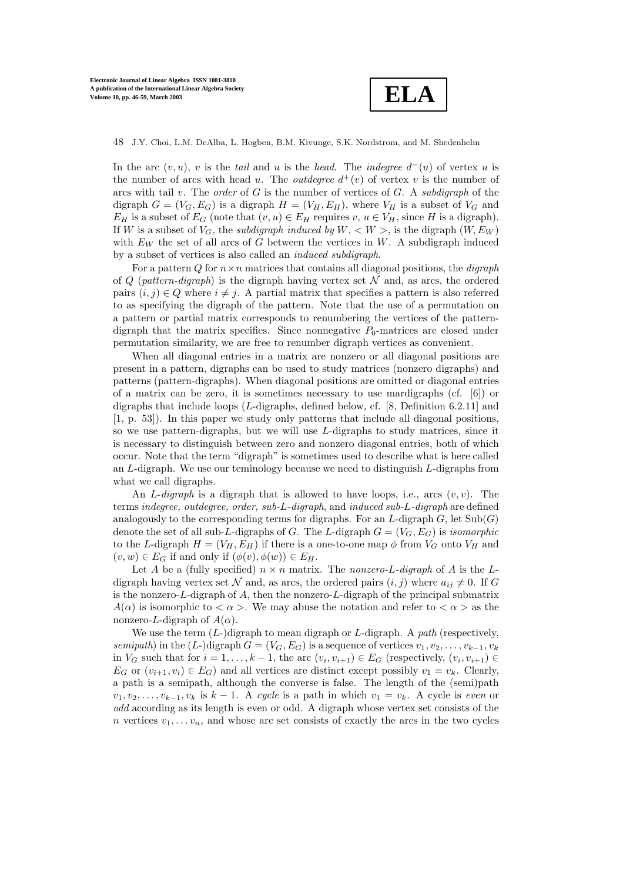

In the arc  $(v, u)$ , v is the *tail* and u is the *head*. The *indegree*  $d^-(u)$  of vertex u is the number of arcs with head u. The *outdegree*  $d^+(v)$  of vertex v is the number of arcs with tail v. The *order* of G is the number of vertices of G. A *subdigraph* of the digraph  $G = (V_G, E_G)$  is a digraph  $H = (V_H, E_H)$ , where  $V_H$  is a subset of  $V_G$  and  $E_H$  is a subset of  $E_G$  (note that  $(v, u) \in E_H$  requires  $v, u \in V_H$ , since H is a digraph). If W is a subset of  $V_G$ , the *subdigraph induced by*  $W, \langle W \rangle$ , is the digraph  $(W, E_W)$ with  $E_W$  the set of all arcs of G between the vertices in W. A subdigraph induced by a subset of vertices is also called an *induced subdigraph*.

For a pattern  $Q$  for  $n \times n$  matrices that contains all diagonal positions, the *digraph* of  $Q$  (*pattern-digraph*) is the digraph having vertex set  $N$  and, as arcs, the ordered pairs  $(i, j) \in Q$  where  $i \neq j$ . A partial matrix that specifies a pattern is also referred to as specifying the digraph of the pattern. Note that the use of a permutation on a pattern or partial matrix corresponds to renumbering the vertices of the patterndigraph that the matrix specifies. Since nonnegative  $P_0$ -matrices are closed under permutation similarity, we are free to renumber digraph vertices as convenient.

When all diagonal entries in a matrix are nonzero or all diagonal positions are present in a pattern, digraphs can be used to study matrices (nonzero digraphs) and patterns (pattern-digraphs). When diagonal positions are omitted or diagonal entries of a matrix can be zero, it is sometimes necessary to use mardigraphs (cf. [6]) or digraphs that include loops (L-digraphs, defined below, cf. [8, Definition 6.2.11] and [1, p. 53]). In this paper we study only patterns that include all diagonal positions, so we use pattern-digraphs, but we will use  $L$ -digraphs to study matrices, since it is necessary to distinguish between zero and nonzero diagonal entries, both of which occur. Note that the term "digraph" is sometimes used to describe what is here called an L-digraph. We use our teminology because we need to distinguish L-digraphs from what we call digraphs.

An  $L$ -*digraph* is a digraph that is allowed to have loops, i.e., arcs  $(v, v)$ . The terms *indegree, outdegree, order, sub-*L*-digraph*, and *induced sub-*L*-digraph* are defined analogously to the corresponding terms for digraphs. For an  $L$ -digraph  $G$ , let  $\text{Sub}(G)$ denote the set of all sub-L-digraphs of G. The L-digraph  $G = (V_G, E_G)$  is *isomorphic* to the L-digraph  $H = (V_H, E_H)$  if there is a one-to-one map  $\phi$  from  $V_G$  onto  $V_H$  and  $(v, w) \in E_G$  if and only if  $(\phi(v), \phi(w)) \in E_H$ .

Let A be a (fully specified)  $n \times n$  matrix. The *nonzero-L-digraph* of A is the Ldigraph having vertex set N and, as arcs, the ordered pairs  $(i, j)$  where  $a_{ij} \neq 0$ . If G is the nonzero- $L$ -digraph of  $A$ , then the nonzero- $L$ -digraph of the principal submatrix  $A(\alpha)$  is isomorphic to  $\langle \alpha \rangle$ . We may abuse the notation and refer to  $\langle \alpha \rangle$  as the nonzero-L-digraph of  $A(\alpha)$ .

We use the term (L-)digraph to mean digraph or L-digraph. A *path* (respectively, *semipath*) in the (L-)digraph  $G = (V_G, E_G)$  is a sequence of vertices  $v_1, v_2, \ldots, v_{k-1}, v_k$ in  $V_G$  such that for  $i = 1, \ldots, k - 1$ , the arc  $(v_i, v_{i+1}) \in E_G$  (respectively,  $(v_i, v_{i+1}) \in$  $E_G$  or  $(v_{i+1}, v_i) \in E_G$  and all vertices are distinct except possibly  $v_1 = v_k$ . Clearly, a path is a semipath, although the converse is false. The length of the (semi)path  $v_1, v_2, \ldots, v_{k-1}, v_k$  is  $k-1$ . A *cycle* is a path in which  $v_1 = v_k$ . A cycle is *even* or *odd* according as its length is even or odd. A digraph whose vertex set consists of the n vertices  $v_1, \ldots v_n$ , and whose arc set consists of exactly the arcs in the two cycles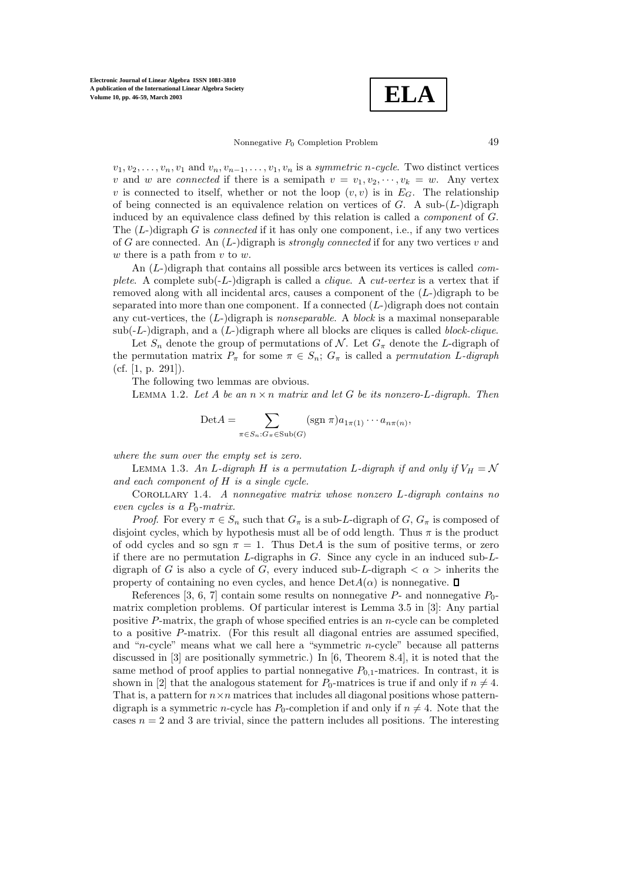**ELA**

Nonnegative  $P_0$  Completion Problem  $49$ 

 $v_1, v_2, \ldots, v_n, v_1$  and  $v_n, v_{n-1}, \ldots, v_1, v_n$  is a *symmetric* n-cycle. Two distinct vertices v and w are *connected* if there is a semipath  $v = v_1, v_2, \dots, v_k = w$ . Any vertex v is connected to itself, whether or not the loop  $(v, v)$  is in  $E_G$ . The relationship of being connected is an equivalence relation on vertices of  $G$ . A sub- $(L-)$ digraph induced by an equivalence class defined by this relation is called a *component* of G. The (L-)digraph G is *connected* if it has only one component, i.e., if any two vertices of G are connected. An  $(L)$ -digraph is *strongly connected* if for any two vertices v and w there is a path from  $v$  to  $w$ .

An (L-)digraph that contains all possible arcs between its vertices is called *complete*. A complete sub(-L-)digraph is called a *clique*. A *cut-vertex* is a vertex that if removed along with all incidental arcs, causes a component of the  $(L-)$ digraph to be separated into more than one component. If a connected  $(L-)$  digraph does not contain any cut-vertices, the (L-)digraph is *nonseparable*. A *block* is a maximal nonseparable sub(-L-)digraph, and a (L-)digraph where all blocks are cliques is called *block-clique*.

Let  $S_n$  denote the group of permutations of N. Let  $G_\pi$  denote the L-digraph of the permutation matrix  $P_{\pi}$  for some  $\pi \in S_n$ ;  $G_{\pi}$  is called a *permutation L-digraph* (cf.  $[1, p. 291]$ ).

The following two lemmas are obvious.

LEMMA 1.2. Let A be an  $n \times n$  matrix and let G be its nonzero-L-digraph. Then

$$
\text{Det}A = \sum_{\pi \in S_n : G_{\pi} \in \text{Sub}(G)} (\text{sgn } \pi) a_{1\pi(1)} \cdots a_{n\pi(n)},
$$

*where the sum over the empty set is zero.*

LEMMA 1.3. An L-digraph H is a permutation L-digraph if and only if  $V_H = \mathcal{N}$ *and each component of* H *is a single cycle.*

Corollary 1.4. *A nonnegative matrix whose nonzero* <sup>L</sup>*-digraph contains no even cycles is a*  $P_0$ *-matrix.* 

*Proof.* For every  $\pi \in S_n$  such that  $G_{\pi}$  is a sub-L-digraph of  $G, G_{\pi}$  is composed of disjoint cycles, which by hypothesis must all be of odd length. Thus  $\pi$  is the product of odd cycles and so sgn  $\pi = 1$ . Thus DetA is the sum of positive terms, or zero if there are no permutation L-digraphs in  $G$ . Since any cycle in an induced sub-Ldigraph of G is also a cycle of G, every induced sub-L-digraph  $\langle \alpha \rangle$  inherits the property of containing no even cycles, and hence  $DetA(\alpha)$  is nonnegative.  $\square$ 

References [3, 6, 7] contain some results on nonnegative  $P_1$ - and nonnegative  $P_0$ matrix completion problems. Of particular interest is Lemma 3.5 in [3]: Any partial positive P-matrix, the graph of whose specified entries is an n-cycle can be completed to a positive P-matrix. (For this result all diagonal entries are assumed specified, and "n-cycle" means what we call here a "symmetric n-cycle" because all patterns discussed in [3] are positionally symmetric.) In [6, Theorem 8.4], it is noted that the same method of proof applies to partial nonnegative  $P_{0,1}$ -matrices. In contrast, it is shown in [2] that the analogous statement for  $P_0$ -matrices is true if and only if  $n \neq 4$ . That is, a pattern for  $n \times n$  matrices that includes all diagonal positions whose patterndigraph is a symmetric *n*-cycle has  $P_0$ -completion if and only if  $n \neq 4$ . Note that the cases  $n = 2$  and 3 are trivial, since the pattern includes all positions. The interesting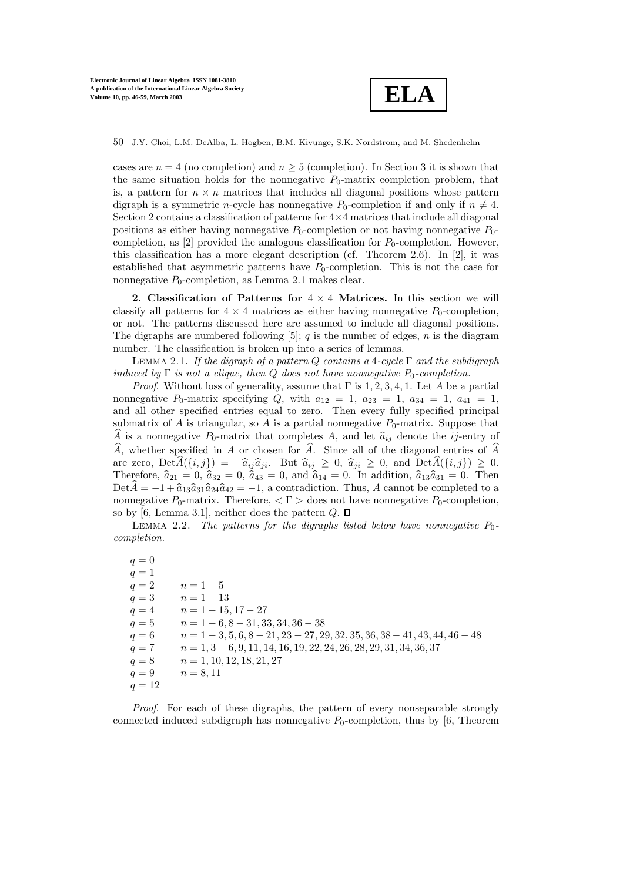

cases are  $n = 4$  (no completion) and  $n \geq 5$  (completion). In Section 3 it is shown that the same situation holds for the nonnegative  $P_0$ -matrix completion problem, that is, a pattern for  $n \times n$  matrices that includes all diagonal positions whose pattern digraph is a symmetric *n*-cycle has nonnegative  $P_0$ -completion if and only if  $n \neq 4$ . Section 2 contains a classification of patterns for  $4\times4$  matrices that include all diagonal positions as either having nonnegative  $P_0$ -completion or not having nonnegative  $P_0$ completion, as [2] provided the analogous classification for  $P_0$ -completion. However, this classification has a more elegant description (cf. Theorem 2.6). In [2], it was established that asymmetric patterns have  $P_0$ -completion. This is not the case for nonnegative  $P_0$ -completion, as Lemma 2.1 makes clear.

**2. Classification of Patterns for** 4 × 4 **Matrices.** In this section we will classify all patterns for  $4 \times 4$  matrices as either having nonnegative  $P_0$ -completion, or not. The patterns discussed here are assumed to include all diagonal positions. The digraphs are numbered following  $[5]$ ; q is the number of edges, n is the diagram number. The classification is broken up into a series of lemmas.

Lemma 2.1. *If the digraph of a pattern* <sup>Q</sup> *contains a* <sup>4</sup>*-cycle* <sup>Γ</sup> *and the subdigraph induced by*  $\Gamma$  *is not a clique, then*  $Q$  *does not have nonnegative*  $P_0$ -completion.

*Proof.* Without loss of generality, assume that  $\Gamma$  is 1, 2, 3, 4, 1. Let A be a partial nonnegative  $P_0$ -matrix specifying  $Q$ , with  $a_{12} = 1$ ,  $a_{23} = 1$ ,  $a_{34} = 1$ ,  $a_{41} = 1$ , and all other specified entries equal to zero. Then every fully specified principal submatrix of  $A$  is triangular, so  $A$  is a partial nonnegative  $P_0$ -matrix. Suppose that  $\widehat{A}$  is a nonnegative  $P_0$ -matrix that completes A, and let  $\widehat{a}_{ij}$  denote the *ij*-entry of  $\widehat{A}$ , whether specified in A or chosen for  $\widehat{A}$ . Since all of the diagonal entries of  $\widehat{A}$ are zero,  $\text{Det}\widehat{A}(\{i,j\}) = -\widehat{a}_{ij}\widehat{a}_{ji}$ . But  $\widehat{a}_{ij} \geq 0$ ,  $\widehat{a}_{ji} \geq 0$ , and  $\text{Det}\widehat{A}(\{i,j\}) \geq 0$ . Therefore,  $\hat{a}_{21} = 0$ ,  $\hat{a}_{32} = 0$ ,  $\hat{a}_{43} = 0$ , and  $\hat{a}_{14} = 0$ . In addition,  $\hat{a}_{13}\hat{a}_{31} = 0$ . Then Det $\hat{A} = -1 + \hat{a}_{13}\hat{a}_{31}\hat{a}_{24}\hat{a}_{42} = -1$ , a contradiction. Thus, A cannot be completed to a nonnegative  $P_0$ -matrix. Therefore,  $\langle \Gamma \rangle$  does not have nonnegative  $P_0$ -completion, so by [6, Lemma 3.1], neither does the pattern  $Q$ .  $\Box$ 

LEMMA 2.2. The patterns for the digraphs listed below have nonnegative  $P_0$ *completion.*

 $q = 0$  $q = 1$  $q = 2$   $n = 1 - 5$  $q = 3$   $n = 1 - 13$  $q = 4$  n = 1 - 15, 17 - 27  $q = 5$  n = 1 – 6, 8 – 31, 33, 34, 36 – 38  $q = 6$  n = 1 - 3, 5, 6, 8 - 21, 23 - 27, 29, 32, 35, 36, 38 - 41, 43, 44, 46 - 48  $q = 7$  n = 1, 3 – 6, 9, 11, 14, 16, 19, 22, 24, 26, 28, 29, 31, 34, 36, 37  $q = 8$   $n = 1, 10, 12, 18, 21, 27$  $q = 9$   $n = 8, 11$  $q = 12$ 

*Proof*. For each of these digraphs, the pattern of every nonseparable strongly connected induced subdigraph has nonnegative  $P_0$ -completion, thus by [6, Theorem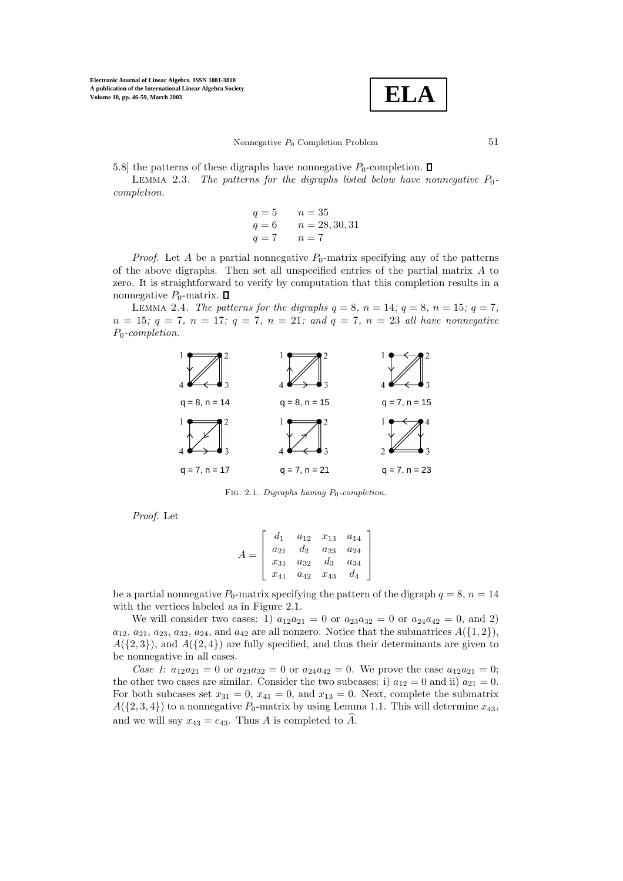

5.8] the patterns of these digraphs have nonnegative  $P_0$ -completion.  $\square$ 

LEMMA 2.3. *The patterns for the digraphs listed below have nonnegative*  $P_0$ *completion.*

$$
q = 5
$$
  $n = 35$   
\n $q = 6$   $n = 28, 30, 31$   
\n $q = 7$   $n = 7$ 

*Proof.* Let A be a partial nonnegative  $P_0$ -matrix specifying any of the patterns of the above digraphs. Then set all unspecified entries of the partial matrix A to zero. It is straightforward to verify by computation that this completion results in a nonnegative  $P_0$ -matrix.  $\Box$ 

LEMMA 2.4. The patterns for the digraphs  $q = 8$ ,  $n = 14$ ;  $q = 8$ ,  $n = 15$ ;  $q = 7$ ,  $n = 15$ *;*  $q = 7$ *,*  $n = 17$ *;*  $q = 7$ *,*  $n = 21$ *;* and  $q = 7$ *,*  $n = 23$  *all have nonnegative* P0*-completion.*



FIG. 2.1. *Digraphs having*  $P_0$ -completion.

*Proof*. Let

$$
A = \begin{bmatrix} d_1 & a_{12} & x_{13} & a_{14} \\ a_{21} & d_2 & a_{23} & a_{24} \\ x_{31} & a_{32} & d_3 & a_{34} \\ x_{41} & a_{42} & x_{43} & d_4 \end{bmatrix}
$$

be a partial nonnegative  $P_0$ -matrix specifying the pattern of the digraph  $q = 8$ ,  $n = 14$ with the vertices labeled as in Figure 2.1.

We will consider two cases: 1)  $a_{12}a_{21} = 0$  or  $a_{23}a_{32} = 0$  or  $a_{24}a_{42} = 0$ , and 2)  $a_{12}, a_{21}, a_{23}, a_{32}, a_{24}$ , and  $a_{42}$  are all nonzero. Notice that the submatrices  $A(\{1,2\}),$  $A({2,3})$ , and  $A({2,4})$  are fully specified, and thus their determinants are given to be nonnegative in all cases.

*Case 1*:  $a_{12}a_{21} = 0$  or  $a_{23}a_{32} = 0$  or  $a_{24}a_{42} = 0$ . We prove the case  $a_{12}a_{21} = 0$ ; the other two cases are similar. Consider the two subcases: i)  $a_{12} = 0$  and ii)  $a_{21} = 0$ . For both subcases set  $x_{31} = 0$ ,  $x_{41} = 0$ , and  $x_{13} = 0$ . Next, complete the submatrix  $A({2, 3, 4})$  to a nonnegative  $P_0$ -matrix by using Lemma 1.1. This will determine  $x_{43}$ , and we will say  $x_{43} = c_{43}$ . Thus A is completed to A.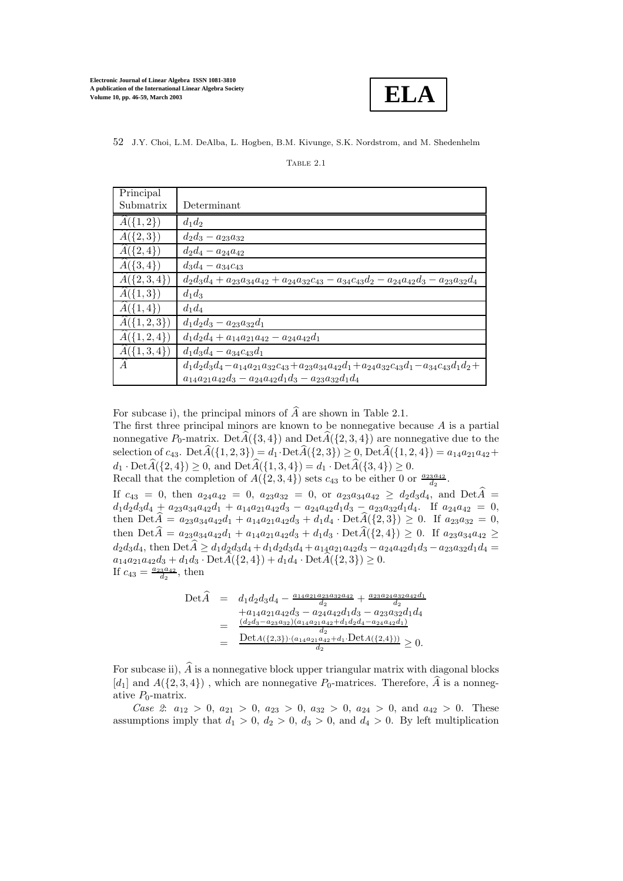

| Principal              |                                                                                                                  |
|------------------------|------------------------------------------------------------------------------------------------------------------|
| Submatrix              | Determinant                                                                                                      |
| $A({1,2})$             | $d_1d_2$                                                                                                         |
| $\widehat{A}(\{2,3\})$ | $d_2d_3 - a_{23}a_{32}$                                                                                          |
| $A({2,4})$             | $d_2d_4 - a_{24}a_{42}$                                                                                          |
| $\widehat{A}(\{3,4\})$ | $d_3d_4 - a_{34}c_{43}$                                                                                          |
| $A({2,3,4})$           | $d_2d_3d_4 + a_{23}a_{34}a_{42} + a_{24}a_{32}c_{43} - a_{34}c_{43}d_2 - a_{24}a_{42}d_3 - a_{23}a_{32}d_4$      |
| $A({1,3})$             | $d_1d_3$                                                                                                         |
| $A({1,4})$             | $d_1d_4$                                                                                                         |
| $A({1,2,3})$           | $d_1d_2d_3 - a_{23}a_{32}d_1$                                                                                    |
| $A({1,2,4})$           | $d_1d_2d_4 + a_{14}a_{21}a_{42} - a_{24}a_{42}d_1$                                                               |
| $A({1,3,4})$           | $d_1d_3d_4 - a_{34}c_{43}d_1$                                                                                    |
| $\widehat{A}$          | $d_1d_2d_3d_4 - a_{14}a_{21}a_{32}c_{43} + a_{23}a_{34}a_{42}d_1 + a_{24}a_{32}c_{43}d_1 - a_{34}c_{43}d_1d_2 +$ |
|                        | $a_{14}a_{21}a_{42}d_3 - a_{24}a_{42}d_1d_3 - a_{23}a_{32}d_1d_4$                                                |

TABLE 2.1

For subcase i), the principal minors of  $\widehat{A}$  are shown in Table 2.1.

The first three principal minors are known to be nonnegative because  $A$  is a partial nonnegative  $P_0$ -matrix. Det $A({3, 4})$  and Det $A({2, 3, 4})$  are nonnegative due to the selection of  $c_{43}$ . Det $\widehat{A}(\{1,2,3\}) = d_1 \cdot \text{Det} \widehat{A}(\{2,3\}) \geq 0$ , Det $\widehat{A}(\{1,2,4\}) = a_{14}a_{21}a_{42} +$  $d_1 \cdot \text{Det}\widehat{A}(\{2,4\}) \geq 0$ , and  $\text{Det}\widehat{A}(\{1,3,4\}) = d_1 \cdot \text{Det}\widehat{A}(\{3,4\}) \geq 0$ .

Recall that the completion of  $A(\{2,3,4\})$  sets  $c_{43}$  to be either 0 or  $\frac{a_{23}a_{42}}{d_2}$ .

If  $c_{43} = 0$ , then  $a_{24}a_{42} = 0$ ,  $a_{23}a_{32} = 0$ , or  $a_{23}a_{34}a_{42} \ge d_2d_3d_4$ , and  $Det\hat{A} =$  $d_1d_2d_3d_4 + a_{23}a_{34}a_{42}d_1 + a_{14}a_{21}a_{42}d_3 - a_{24}a_{42}d_1d_3 - a_{23}a_{32}d_1d_4$ . If  $a_{24}a_{42} = 0$ , then  $\text{Det}\widehat{A} = a_{23}a_{34}a_{42}d_1 + a_{14}a_{21}a_{42}d_3 + d_1d_4 \cdot \text{Det}\widehat{A}(\{2,3\}) \geq 0$ . If  $a_{23}a_{32} = 0$ , then  $\text{Det}\widehat{A} = a_{23}a_{34}a_{42}d_1 + a_{14}a_{21}a_{42}d_3 + d_1d_3 \cdot \text{Det}\widehat{A}(\{2,4\}) \geq 0$ . If  $a_{23}a_{34}a_{42} \geq$  $d_2d_3d_4$ , then  $\text{Det}\widetilde{A} \geq d_1d_2d_3d_4 + d_1d_2d_3d_4 + a_{14}a_{21}a_{42}d_3 - a_{24}a_{42}d_1d_3 - a_{23}a_{32}d_1d_4 =$  $a_{14}a_{21}a_{42}d_3 + d_1d_3 \cdot \text{Det}\widehat{A}(\{2,4\}) + d_1d_4 \cdot \text{Det}\widehat{A}(\{2,3\}) \geq 0.$ If  $c_{43} = \frac{a_{23}a_{42}}{d_2}$ , then

$$
\begin{array}{rcl}\n\text{Det}\widehat{A} & = & d_1 d_2 d_3 d_4 - \frac{a_{14} a_{21} a_{23} a_{32} a_{42}}{d_2} + \frac{a_{23} a_{24} a_{32} a_{42} d_1}{d_2} \\
& & + a_{14} a_{21} a_{42} d_3 - a_{24} a_{42} d_1 d_3 - a_{23} a_{32} d_1 d_4 \\
& = & \frac{(d_2 d_3 - a_{23} a_{32})(a_{14} a_{21} a_{42} + d_1 d_2 d_4 - a_{24} a_{42} d_1)}{d_2} \\
& = & \frac{\text{Det}A(\{2,3\}) \cdot (a_{14} a_{21} a_{42} + d_1 \cdot \text{Det}A(\{2,4\}))}{d_2} \geq 0.\n\end{array}
$$

For subcase ii),  $\widehat{A}$  is a nonnegative block upper triangular matrix with diagonal blocks [d<sub>1</sub>] and  $A(\{2,3,4\})$ , which are nonnegative  $P_0$ -matrices. Therefore,  $\widehat{A}$  is a nonnegative  $P_0$ -matrix.

*Case 2*:  $a_{12} > 0$ ,  $a_{21} > 0$ ,  $a_{23} > 0$ ,  $a_{32} > 0$ ,  $a_{24} > 0$ , and  $a_{42} > 0$ . These assumptions imply that  $d_1 > 0$ ,  $d_2 > 0$ ,  $d_3 > 0$ , and  $d_4 > 0$ . By left multiplication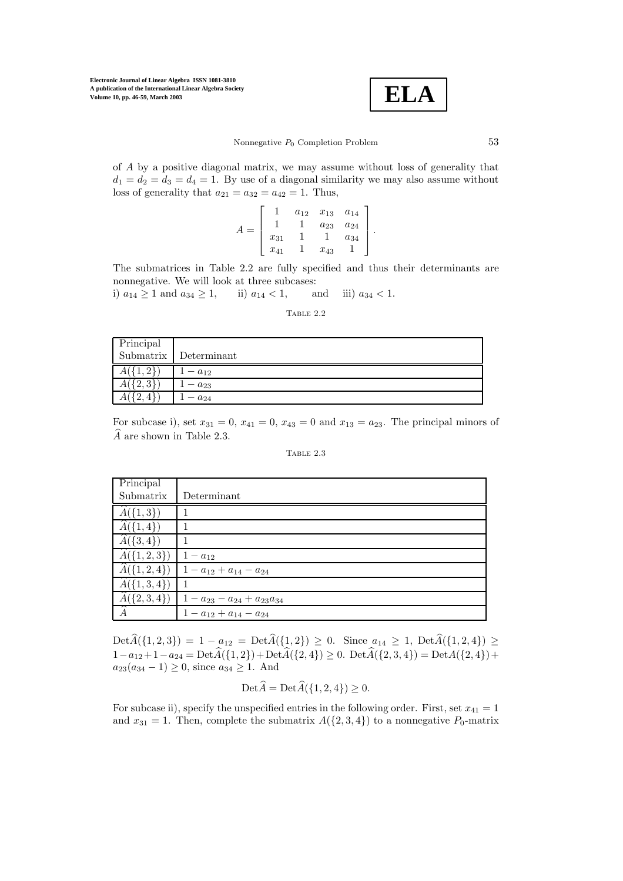

of A by a positive diagonal matrix, we may assume without loss of generality that  $d_1 = d_2 = d_3 = d_4 = 1$ . By use of a diagonal similarity we may also assume without loss of generality that  $a_{21} = a_{32} = a_{42} = 1$ . Thus,

$$
A = \left[ \begin{array}{cccc} 1 & a_{12} & x_{13} & a_{14} \\ 1 & 1 & a_{23} & a_{24} \\ x_{31} & 1 & 1 & a_{34} \\ x_{41} & 1 & x_{43} & 1 \end{array} \right].
$$

The submatrices in Table 2.2 are fully specified and thus their determinants are nonnegative. We will look at three subcases:

i)  $a_{14} \ge 1$  and  $a_{34} \ge 1$ , ii)  $a_{14} < 1$ , and iii)  $a_{34} < 1$ .

TABLE 2.2

| Principal<br>Submatrix |             |
|------------------------|-------------|
|                        | Determinant |
|                        | $-a_{12}$   |
|                        | $a_{23}$    |
| ↵                      | $a_{24}$    |

For subcase i), set  $x_{31} = 0$ ,  $x_{41} = 0$ ,  $x_{43} = 0$  and  $x_{13} = a_{23}$ . The principal minors of  $\widehat{A}$  are shown in Table 2.3.

| I A BLE |  |
|---------|--|
|         |  |

| Principal                |                                             |
|--------------------------|---------------------------------------------|
| Submatrix                | Determinant                                 |
| $\widehat{A}(\{1,3\})$   |                                             |
| $\widehat{A}(\{1,4\})$   |                                             |
| $\widehat{A}(\{3,4\})$   |                                             |
| $\widehat{A}(\{1,2,3\})$ | $1 - a_{12}$                                |
|                          | $A({1,2,4})   1 - a_{12} + a_{14} - a_{24}$ |
| $\widehat{A}(\{1,3,4\})$ | $\overline{1}$                              |
| $\widehat{A}(\{2,3,4\})$ | $1 - a_{23} - a_{24} + a_{23}a_{34}$        |
| Â                        | $1 - a_{12} + a_{14} - a_{24}$              |

 $\text{Det}\,\widehat{A}(\{1,2,3\})=1 - a_{12} = \text{Det}\,\widehat{A}(\{1,2\}) \geq 0.$  Since  $a_{14} \geq 1$ ,  $\text{Det}\,\widehat{A}(\{1,2,4\}) \geq 0.$  $1-a_{12}+1-a_{24} = \text{Det}\widehat{A}(\{1,2\})+\text{Det}\widehat{A}(\{2,4\}) \geq 0.$   $\text{Det}\widehat{A}(\{2,3,4\})=\text{Det}A(\{2,4\})+\text{Det}\widehat{A}(\{2,4\})$  $a_{23}(a_{34}-1) \geq 0$ , since  $a_{34} \geq 1$ . And

$$
\text{Det}\widehat{A} = \text{Det}\widehat{A}(\{1,2,4\}) \ge 0.
$$

For subcase ii), specify the unspecified entries in the following order. First, set  $x_{41} = 1$ and  $x_{31} = 1$ . Then, complete the submatrix  $A({2, 3, 4})$  to a nonnegative  $P_0$ -matrix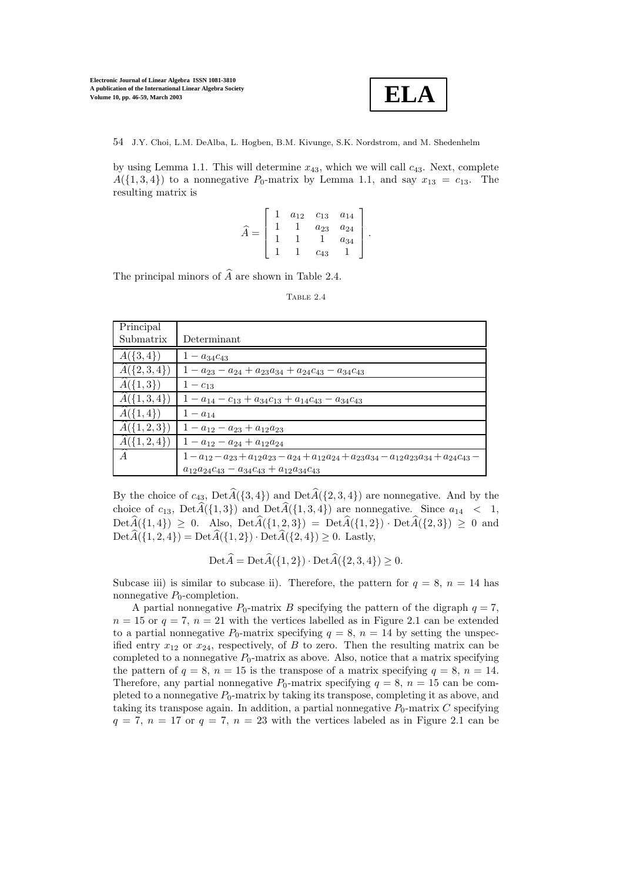

by using Lemma 1.1. This will determine  $x_{43}$ , which we will call  $c_{43}$ . Next, complete  $A({1, 3, 4})$  to a nonnegative  $P_0$ -matrix by Lemma 1.1, and say  $x_{13} = c_{13}$ . The resulting matrix is

$$
\widehat{A} = \begin{bmatrix} 1 & a_{12} & c_{13} & a_{14} \\ 1 & 1 & a_{23} & a_{24} \\ 1 & 1 & 1 & a_{34} \\ 1 & 1 & c_{43} & 1 \end{bmatrix}.
$$

The principal minors of  $\widehat{A}$  are shown in Table 2.4.

```
Table 2.4
```

| Principal                |                                                                                                  |
|--------------------------|--------------------------------------------------------------------------------------------------|
| Submatrix                | Determinant                                                                                      |
| $\widehat{A}(\{3,4\})$   | $1 - a_{34}c_{43}$                                                                               |
| $A({2,3,4})$             | $1 - a_{23} - a_{24} + a_{23}a_{34} + a_{24}c_{43} - a_{34}c_{43}$                               |
| $\widehat{A}(\{1,3\})$   | $1 - c_{13}$                                                                                     |
| $A({1,3,4})$             | $1 - a_{14} - c_{13} + a_{34}c_{13} + a_{14}c_{43} - a_{34}c_{43}$                               |
| $\widehat{A}(\{1,4\})$   | $1 - a_{14}$                                                                                     |
| $\widehat{A}(\{1,2,3\})$ | $1 - a_{12} - a_{23} + a_{12}a_{23}$                                                             |
| $A({1,2,4})$             | $1 - a_{12} - a_{24} + a_{12}a_{24}$                                                             |
| A                        | $1-a_{12}-a_{23}+a_{12}a_{23}-a_{24}+a_{12}a_{24}+a_{23}a_{34}-a_{12}a_{23}a_{34}+a_{24}c_{43}-$ |
|                          | $a_{12}a_{24}c_{43} - a_{34}c_{43} + a_{12}a_{34}c_{43}$                                         |

By the choice of  $c_{43}$ ,  $Det\widehat{A}(\{3,4\})$  and  $Det\widehat{A}(\{2,3,4\})$  are nonnegative. And by the choice of  $c_{13}$ ,  $Det\widehat{A}(\{1,3\})$  and  $Det\widehat{A}(\{1,3,4\})$  are nonnegative. Since  $a_{14} < 1$ ,  $Det\hat{A}(\{1,4\}) \geq 0$ . Also,  $Det\hat{A}(\{1,2,3\}) = Det\hat{A}(\{1,2\}) \cdot Det\hat{A}(\{2,3\}) \geq 0$  and  $\text{Det}\widehat{A}(\{1,2,4\}) = \text{Det}\widehat{A}(\{1,2\}) \cdot \text{Det}\widehat{A}(\{2,4\}) \geq 0.$  Lastly,

 $\text{Det}\widehat{A} = \text{Det}\widehat{A}(\{1,2\}) \cdot \text{Det}\widehat{A}(\{2,3,4\}) \geq 0.$ 

Subcase iii) is similar to subcase ii). Therefore, the pattern for  $q = 8$ ,  $n = 14$  has nonnegative  $P_0$ -completion.

A partial nonnegative  $P_0$ -matrix B specifying the pattern of the digraph  $q = 7$ ,  $n = 15$  or  $q = 7$ ,  $n = 21$  with the vertices labelled as in Figure 2.1 can be extended to a partial nonnegative  $P_0$ -matrix specifying  $q = 8$ ,  $n = 14$  by setting the unspecified entry  $x_{12}$  or  $x_{24}$ , respectively, of B to zero. Then the resulting matrix can be completed to a nonnegative  $P_0$ -matrix as above. Also, notice that a matrix specifying the pattern of  $q = 8$ ,  $n = 15$  is the transpose of a matrix specifying  $q = 8$ ,  $n = 14$ . Therefore, any partial nonnegative  $P_0$ -matrix specifying  $q = 8$ ,  $n = 15$  can be completed to a nonnegative  $P_0$ -matrix by taking its transpose, completing it as above, and taking its transpose again. In addition, a partial nonnegative  $P_0$ -matrix  $C$  specifying  $q = 7, n = 17$  or  $q = 7, n = 23$  with the vertices labeled as in Figure 2.1 can be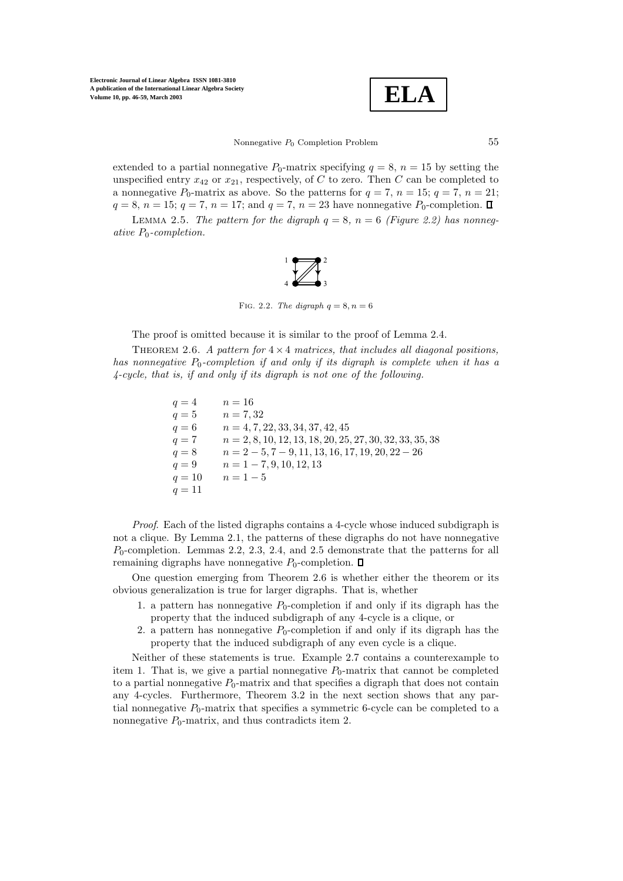$$
\boxed{\textbf{ELA}}
$$

Nonnegative  $P_0$  Completion Problem  $55$ 

extended to a partial nonnegative  $P_0$ -matrix specifying  $q = 8$ ,  $n = 15$  by setting the unspecified entry  $x_{42}$  or  $x_{21}$ , respectively, of C to zero. Then C can be completed to a nonnegative  $P_0$ -matrix as above. So the patterns for  $q = 7$ ,  $n = 15$ ;  $q = 7$ ,  $n = 21$ ;  $q = 8$ ,  $n = 15$ ;  $q = 7$ ,  $n = 17$ ; and  $q = 7$ ,  $n = 23$  have nonnegative  $P_0$ -completion.  $\Box$ 

LEMMA 2.5. *The pattern for the digraph*  $q = 8$ ,  $n = 6$  *(Figure 2.2) has nonnegative* P0*-completion.*



Fig. 2.2. *The digraph*  $q = 8, n = 6$ 

The proof is omitted because it is similar to the proof of Lemma 2.4.

Theorem 2.6. *A pattern for* <sup>4</sup> <sup>×</sup> <sup>4</sup> *matrices, that includes all diagonal positions, has nonnegative*  $P_0$ -completion if and only if its digraph is complete when it has a *4-cycle, that is, if and only if its digraph is not one of the following.*

> $q = 4$   $n = 16$  $q = 5$   $n = 7,32$  $q = 6$  n = 4, 7, 22, 33, 34, 37, 42, 45  $q = 7$  n = 2, 8, 10, 12, 13, 18, 20, 25, 27, 30, 32, 33, 35, 38  $q = 8$  n = 2 – 5, 7 – 9, 11, 13, 16, 17, 19, 20, 22 – 26  $q = 9$   $n = 1 - 7, 9, 10, 12, 13$  $q = 10$   $n = 1 - 5$  $q = 11$

*Proof*. Each of the listed digraphs contains a 4-cycle whose induced subdigraph is not a clique. By Lemma 2.1, the patterns of these digraphs do not have nonnegative  $P_0$ -completion. Lemmas 2.2, 2.3, 2.4, and 2.5 demonstrate that the patterns for all remaining digraphs have nonnegative  $P_0$ -completion.  $\square$ 

One question emerging from Theorem 2.6 is whether either the theorem or its obvious generalization is true for larger digraphs. That is, whether

- 1. a pattern has nonnegative  $P_0$ -completion if and only if its digraph has the property that the induced subdigraph of any 4-cycle is a clique, or
- 2. a pattern has nonnegative  $P_0$ -completion if and only if its digraph has the property that the induced subdigraph of any even cycle is a clique.

Neither of these statements is true. Example 2.7 contains a counterexample to item 1. That is, we give a partial nonnegative  $P_0$ -matrix that cannot be completed to a partial nonnegative  $P_0$ -matrix and that specifies a digraph that does not contain any 4-cycles. Furthermore, Theorem 3.2 in the next section shows that any partial nonnegative  $P_0$ -matrix that specifies a symmetric 6-cycle can be completed to a nonnegative  $P_0$ -matrix, and thus contradicts item 2.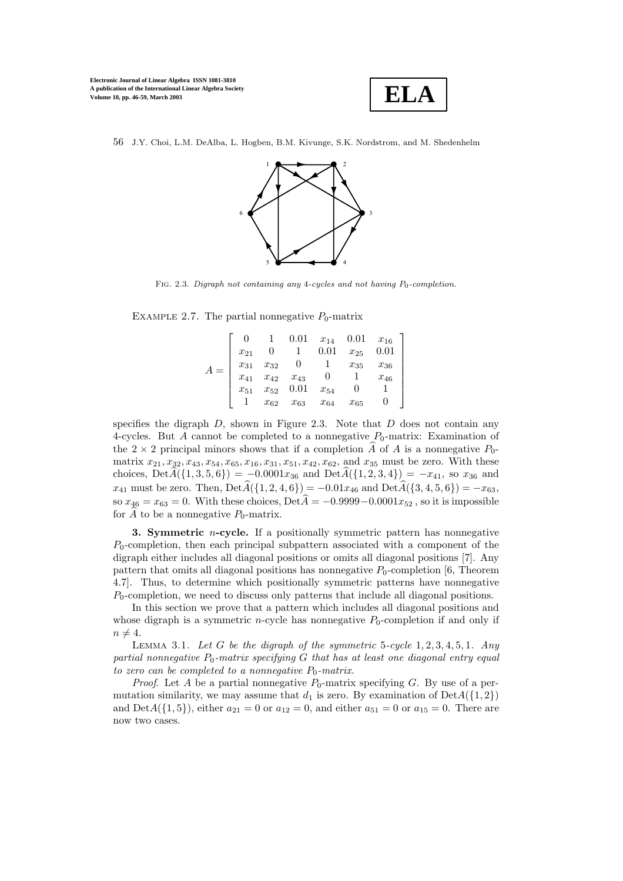

56 J.Y. Choi, L.M. DeAlba, L. Hogben, B.M. Kivunge, S.K. Nordstrom, and M. Shedenhelm



FIG. 2.3. *Digraph not containing any* 4-cycles and not having  $P_0$ -completion.

EXAMPLE 2.7. The partial nonnegative  $P_0$ -matrix

|  |          |                                                |                                    | $0.01 \quad x_{14} \quad 0.01$ |          | $x_{16}$ |
|--|----------|------------------------------------------------|------------------------------------|--------------------------------|----------|----------|
|  | $x_{21}$ |                                                |                                    | 0.01                           | $x_{25}$ | 0.01     |
|  | $x_{31}$ | $\begin{array}{c} x_{32}\\ x_{42} \end{array}$ |                                    |                                | $x_{35}$ | $x_{36}$ |
|  | $x_{41}$ |                                                | $x_{42}$ $x_{43}$<br>$x_{52}$ 0.01 |                                |          | $x_{46}$ |
|  | $x_{51}$ |                                                |                                    | $x_{54}$                       |          |          |
|  |          | $x_{62}$                                       | $x_{63}$                           | $x_{64}$                       | $x_{65}$ |          |

specifies the digraph  $D$ , shown in Figure 2.3. Note that  $D$  does not contain any 4-cycles. But A cannot be completed to a nonnegative  $P_0$ -matrix: Examination of the  $2 \times 2$  principal minors shows that if a completion A of A is a nonnegative  $P_0$ matrix  $x_{21}, x_{32}, x_{43}, x_{54}, x_{65}, x_{16}, x_{31}, x_{51}, x_{42}, x_{62},$  and  $x_{35}$  must be zero. With these choices, Det $A(\{1,3,5,6\}) = -0.0001x_{36}$  and Det $A(\{1,2,3,4\}) = -x_{41}$ , so  $x_{36}$  and  $x_{41}$  must be zero. Then, Det $\widehat{A}(\{1, 2, 4, 6\}) = -0.01x_{46}$  and Det $\widehat{A}(\{3, 4, 5, 6\}) = -x_{63}$ , so  $x_{46} = x_{63} = 0$ . With these choices, Det $\widehat{A} = -0.9999 - 0.0001x_{52}$ , so it is impossible for A to be a nonnegative  $P_0$ -matrix.

**3. Symmetric** *n*-cycle. If a positionally symmetric pattern has nonnegative  $P_0$ -completion, then each principal subpattern associated with a component of the digraph either includes all diagonal positions or omits all diagonal positions [7]. Any pattern that omits all diagonal positions has nonnegative  $P_0$ -completion [6, Theorem 4.7]. Thus, to determine which positionally symmetric patterns have nonnegative  $P_0$ -completion, we need to discuss only patterns that include all diagonal positions.

In this section we prove that a pattern which includes all diagonal positions and whose digraph is a symmetric *n*-cycle has nonnegative  $P_0$ -completion if and only if  $n \neq 4.$ 

Lemma 3.1. *Let* <sup>G</sup> *be the digraph of the symmetric* <sup>5</sup>*-cycle* <sup>1</sup>, <sup>2</sup>, <sup>3</sup>, <sup>4</sup>, <sup>5</sup>, <sup>1</sup>*. Any* partial nonnegative  $P_0$ -matrix specifying  $G$  that has at least one diagonal entry equal *to zero can be completed to a nonnegative*  $P_0$ *-matrix.* 

*Proof.* Let A be a partial nonnegative  $P_0$ -matrix specifying G. By use of a permutation similarity, we may assume that  $d_1$  is zero. By examination of  $DetA({1, 2})$ and Det $A({1, 5})$ , either  $a_{21} = 0$  or  $a_{12} = 0$ , and either  $a_{51} = 0$  or  $a_{15} = 0$ . There are now two cases.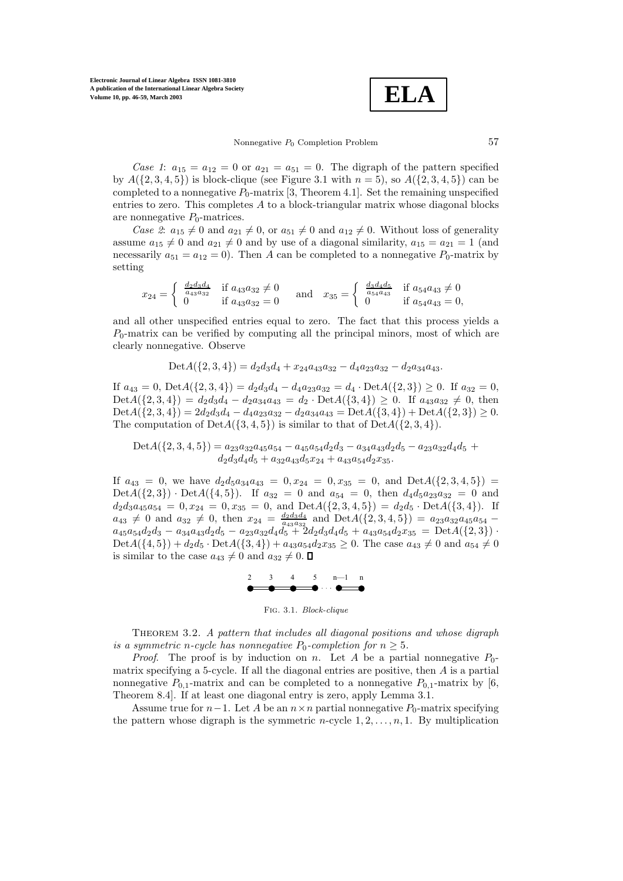**ELA**

## Nonnegative  $P_0$  Completion Problem  $57$

*Case 1*:  $a_{15} = a_{12} = 0$  or  $a_{21} = a_{51} = 0$ . The digraph of the pattern specified by  $A({2, 3, 4, 5})$  is block-clique (see Figure 3.1 with  $n = 5$ ), so  $A({2, 3, 4, 5})$  can be completed to a nonnegative  $P_0$ -matrix [3, Theorem 4.1]. Set the remaining unspecified entries to zero. This completes  $A$  to a block-triangular matrix whose diagonal blocks are nonnegative  $P_0$ -matrices.

*Case 2*:  $a_{15} \neq 0$  and  $a_{21} \neq 0$ , or  $a_{51} \neq 0$  and  $a_{12} \neq 0$ . Without loss of generality assume  $a_{15} \neq 0$  and  $a_{21} \neq 0$  and by use of a diagonal similarity,  $a_{15} = a_{21} = 1$  (and necessarily  $a_{51} = a_{12} = 0$ . Then A can be completed to a nonnegative  $P_0$ -matrix by setting

$$
x_{24} = \begin{cases} \frac{d_2 d_3 d_4}{a_{43} a_{32}} & \text{if } a_{43} a_{32} \neq 0\\ 0 & \text{if } a_{43} a_{32} = 0 \end{cases} \text{ and } x_{35} = \begin{cases} \frac{d_3 d_4 d_5}{a_{54} a_{43}} & \text{if } a_{54} a_{43} \neq 0\\ 0 & \text{if } a_{54} a_{43} = 0, \end{cases}
$$

and all other unspecified entries equal to zero. The fact that this process yields a  $P_0$ -matrix can be verified by computing all the principal minors, most of which are clearly nonnegative. Observe

$$
Det A(\{2,3,4\}) = d_2d_3d_4 + x_{24}a_{43}a_{32} - d_4a_{23}a_{32} - d_2a_{34}a_{43}.
$$

If  $a_{43} = 0$ ,  $Det A(\{2,3,4\}) = d_2d_3d_4 - d_4a_{23}a_{32} = d_4 \cdot Det A(\{2,3\}) \ge 0$ . If  $a_{32} = 0$ ,  $Det A(\{2,3,4\}) = d_2d_3d_4 - d_2a_{34}a_{43} = d_2 \cdot Det A(\{3,4\}) \geq 0$ . If  $a_{43}a_{32} \neq 0$ , then  $Det A(\{2,3,4\})=2d_2d_3d_4 - d_4a_{23}a_{32} - d_2a_{34}a_{43} = Det A(\{3,4\}) + Det A(\{2,3\}) \geq 0.$ The computation of  $Det A({3, 4, 5})$  is similar to that of  $Det A({2, 3, 4})$ .

 $DetA({2, 3, 4, 5}) = a_{23}a_{32}a_{45}a_{54} - a_{45}a_{54}d_{2}d_{3} - a_{34}a_{43}d_{2}d_{5} - a_{23}a_{32}d_{4}d_{5} +$  $d_2d_3d_4d_5 + a_{32}a_{43}d_5x_{24} + a_{43}a_{54}d_2x_{35}.$ 

If  $a_{43} = 0$ , we have  $d_2d_5a_{34}a_{43} = 0$ ,  $x_{24} = 0$ ,  $x_{35} = 0$ , and  $DetA({2, 3, 4, 5}) =$  $Det A({1,3}) \cdot Det A({1,5}).$  If  $a_{32} = 0$  and  $a_{54} = 0$ , then  $d_4d_5a_{23}a_{32} = 0$  and  $d_2 d_3 a_{45} a_{54} = 0, x_{24} = 0, x_{35} = 0, \text{ and } \text{Det}A(\{2, 3, 4, 5\}) = d_2 d_5 \cdot \text{Det}A(\{3, 4\}).$  If  $a_{43} \neq 0$  and  $a_{32} \neq 0$ , then  $x_{24} = \frac{d_2d_3d_4}{a_{43}a_{32}}$  and  $DetA(\{2, 3, 4, 5\}) = a_{23}a_{32}a_{45}a_{54}$  $a_{45}a_{54}d_2d_3 - a_{34}a_{43}d_2d_5 - a_{23}a_{32}d_4d_5^2 + 2d_2d_3d_4d_5 + a_{43}a_{54}d_2x_{35} = DetA(\{2,3\})$  $Det A({1, 5}) + d_2d_5 \cdot Det A({3, 4}) + a_{43}a_{54}d_2x_{35} \geq 0$ . The case  $a_{43} \neq 0$  and  $a_{54} \neq 0$ is similar to the case  $a_{43} \neq 0$  and  $a_{32} \neq 0$ .



Fig. 3.1. *Block-clique*

Theorem 3.2. *A pattern that includes all diagonal positions and whose digraph is a symmetric n-cycle has nonnegative*  $P_0$ -completion for  $n \geq 5$ .

*Proof.* The proof is by induction on n. Let A be a partial nonnegative  $P_0$ matrix specifying a 5-cycle. If all the diagonal entries are positive, then  $A$  is a partial nonnegative  $P_{0,1}$ -matrix and can be completed to a nonnegative  $P_{0,1}$ -matrix by [6, Theorem 8.4]. If at least one diagonal entry is zero, apply Lemma 3.1.

Assume true for  $n-1$ . Let A be an  $n \times n$  partial nonnegative  $P_0$ -matrix specifying the pattern whose digraph is the symmetric n-cycle  $1, 2, \ldots, n, 1$ . By multiplication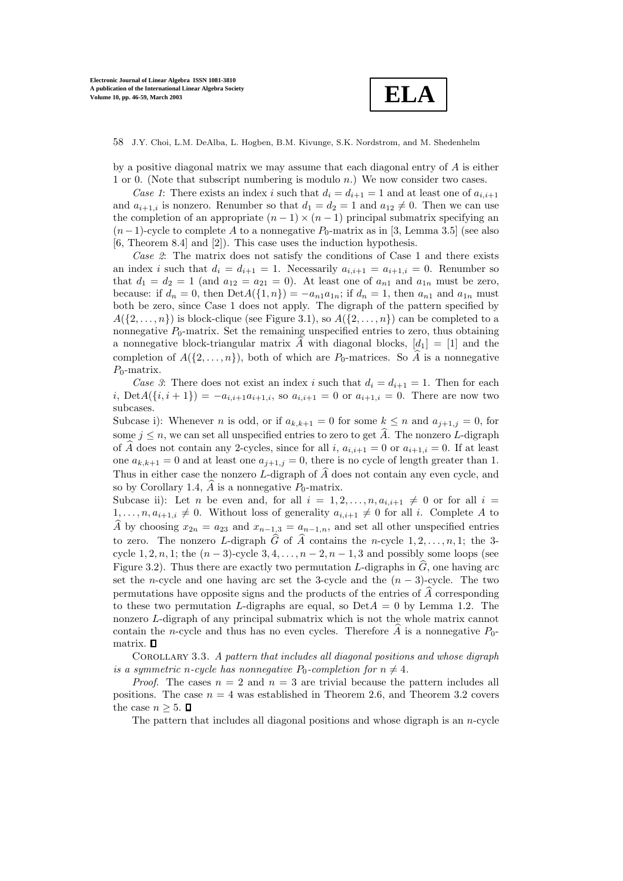

by a positive diagonal matrix we may assume that each diagonal entry of  $A$  is either 1 or 0. (Note that subscript numbering is modulo n.) We now consider two cases.

*Case 1*: There exists an index i such that  $d_i = d_{i+1} = 1$  and at least one of  $a_{i,i+1}$ and  $a_{i+1,i}$  is nonzero. Renumber so that  $d_1 = d_2 = 1$  and  $a_{12} \neq 0$ . Then we can use the completion of an appropriate  $(n - 1) \times (n - 1)$  principal submatrix specifying an  $(n-1)$ -cycle to complete A to a nonnegative  $P_0$ -matrix as in [3, Lemma 3.5] (see also [6, Theorem 8.4] and [2]). This case uses the induction hypothesis.

*Case 2*: The matrix does not satisfy the conditions of Case 1 and there exists an index i such that  $d_i = d_{i+1} = 1$ . Necessarily  $a_{i,i+1} = a_{i+1,i} = 0$ . Renumber so that  $d_1 = d_2 = 1$  (and  $a_{12} = a_{21} = 0$ ). At least one of  $a_{n1}$  and  $a_{1n}$  must be zero, because: if  $d_n = 0$ , then  $DetA({1, n}) = -a_{n1}a_{1n}$ ; if  $d_n = 1$ , then  $a_{n1}$  and  $a_{1n}$  must both be zero, since Case 1 does not apply. The digraph of the pattern specified by  $A({2,\ldots,n})$  is block-clique (see Figure 3.1), so  $A({2,\ldots,n})$  can be completed to a nonnegative  $P_0$ -matrix. Set the remaining unspecified entries to zero, thus obtaining a nonnegative block-triangular matrix  $\hat{A}$  with diagonal blocks,  $[d_1] = [1]$  and the completion of  $A(\{2,\ldots,n\})$ , both of which are  $P_0$ -matrices. So A is a nonnegative  $P_0$ -matrix.

*Case 3*: There does not exist an index i such that  $d_i = d_{i+1} = 1$ . Then for each i,  $\text{Det}A(\{i, i + 1\}) = -a_{i,i+1}a_{i+1,i}$ , so  $a_{i,i+1} = 0$  or  $a_{i+1,i} = 0$ . There are now two subcases.

Subcase i): Whenever *n* is odd, or if  $a_{k,k+1} = 0$  for some  $k \leq n$  and  $a_{i+1,j} = 0$ , for some  $j \leq n$ , we can set all unspecified entries to zero to get  $\hat{A}$ . The nonzero L-digraph of A does not contain any 2-cycles, since for all i,  $a_{i,i+1} = 0$  or  $a_{i+1,i} = 0$ . If at least one  $a_{k,k+1} = 0$  and at least one  $a_{i+1,j} = 0$ , there is no cycle of length greater than 1. Thus in either case the nonzero L-digraph of  $\widehat{A}$  does not contain any even cycle, and so by Corollary 1.4,  $\widehat{A}$  is a nonnegative  $P_0$ -matrix.

Subcase ii): Let *n* be even and, for all  $i = 1, 2, ..., n, a_{i,i+1} \neq 0$  or for all  $i =$  $1, \ldots, n, a_{i+1,i} \neq 0$ . Without loss of generality  $a_{i,i+1} \neq 0$  for all i. Complete A to  $\widehat{A}$  by choosing  $x_{2n} = a_{23}$  and  $x_{n-1,3} = a_{n-1,n}$ , and set all other unspecified entries to zero. The nonzero L-digraph  $\widehat{G}$  of  $\widehat{A}$  contains the n-cycle  $1, 2, \ldots, n, 1$ ; the 3cycle 1, 2, n, 1; the  $(n-3)$ -cycle 3, 4, ...,  $n-2$ ,  $n-1$ , 3 and possibly some loops (see Figure 3.2). Thus there are exactly two permutation L-digraphs in  $\hat{G}$ , one having arc set the n-cycle and one having arc set the 3-cycle and the  $(n-3)$ -cycle. The two permutations have opposite signs and the products of the entries of  $\widehat{A}$  corresponding to these two permutation L-digraphs are equal, so  $Det A = 0$  by Lemma 1.2. The nonzero L-digraph of any principal submatrix which is not the whole matrix cannot contain the *n*-cycle and thus has no even cycles. Therefore  $\ddot{A}$  is a nonnegative  $P_0$ matrix.  $\Box$ 

Corollary 3.3. *A pattern that includes all diagonal positions and whose digraph is a symmetric n-cycle has nonnegative*  $P_0$ -*completion for*  $n \neq 4$ *.* 

*Proof.* The cases  $n = 2$  and  $n = 3$  are trivial because the pattern includes all positions. The case  $n = 4$  was established in Theorem 2.6, and Theorem 3.2 covers the case  $n \geq 5$ .  $\Box$ 

The pattern that includes all diagonal positions and whose digraph is an  $n$ -cycle